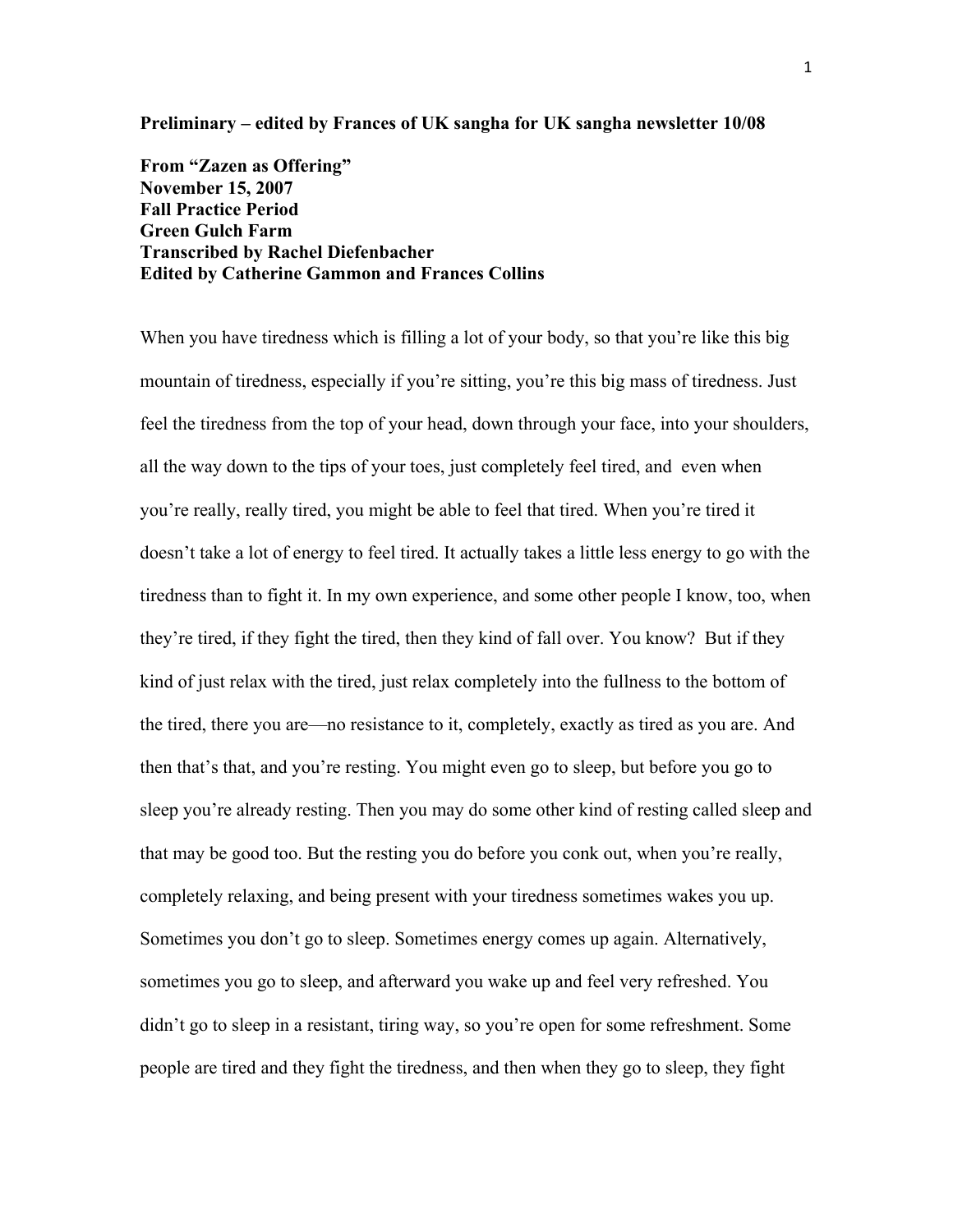**Preliminary – edited by Frances of UK sangha for UK sangha newsletter 10/08** 

**From "Zazen as Offering" November 15, 2007 Fall Practice Period Green Gulch Farm Transcribed by Rachel Diefenbacher Edited by Catherine Gammon and Frances Collins**

When you have tiredness which is filling a lot of your body, so that you're like this big mountain of tiredness, especially if you're sitting, you're this big mass of tiredness. Just feel the tiredness from the top of your head, down through your face, into your shoulders, all the way down to the tips of your toes, just completely feel tired, and even when you're really, really tired, you might be able to feel that tired. When you're tired it doesn't take a lot of energy to feel tired. It actually takes a little less energy to go with the tiredness than to fight it. In my own experience, and some other people I know, too, when they're tired, if they fight the tired, then they kind of fall over. You know? But if they kind of just relax with the tired, just relax completely into the fullness to the bottom of the tired, there you are—no resistance to it, completely, exactly as tired as you are. And then that's that, and you're resting. You might even go to sleep, but before you go to sleep you're already resting. Then you may do some other kind of resting called sleep and that may be good too. But the resting you do before you conk out, when you're really, completely relaxing, and being present with your tiredness sometimes wakes you up. Sometimes you don't go to sleep. Sometimes energy comes up again. Alternatively, sometimes you go to sleep, and afterward you wake up and feel very refreshed. You didn't go to sleep in a resistant, tiring way, so you're open for some refreshment. Some people are tired and they fight the tiredness, and then when they go to sleep, they fight